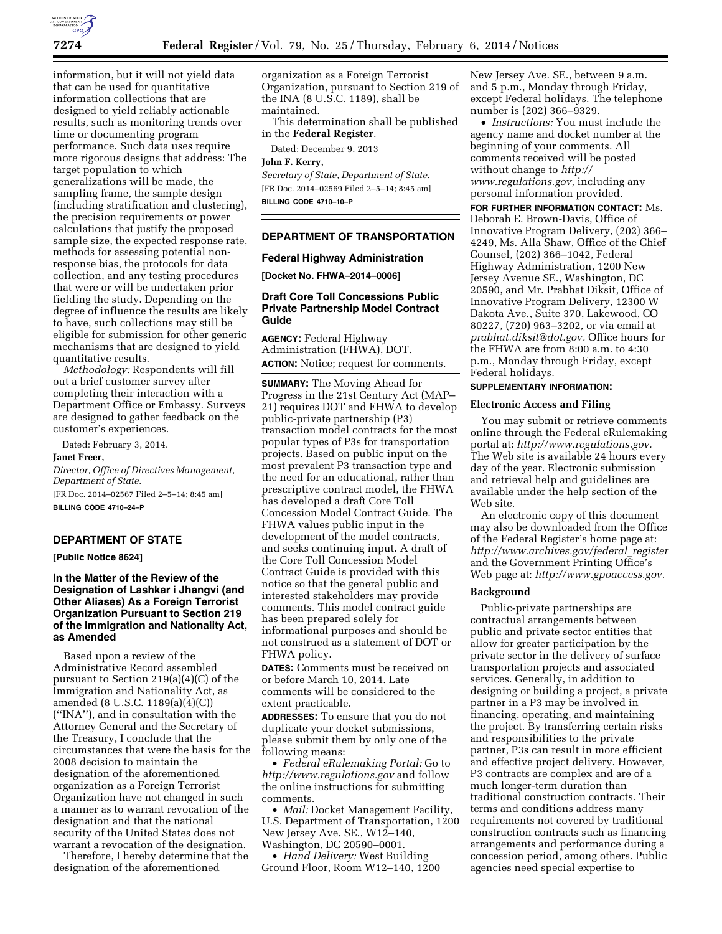

information, but it will not yield data that can be used for quantitative information collections that are designed to yield reliably actionable results, such as monitoring trends over time or documenting program performance. Such data uses require more rigorous designs that address: The target population to which generalizations will be made, the sampling frame, the sample design (including stratification and clustering), the precision requirements or power calculations that justify the proposed sample size, the expected response rate, methods for assessing potential nonresponse bias, the protocols for data collection, and any testing procedures that were or will be undertaken prior fielding the study. Depending on the degree of influence the results are likely to have, such collections may still be eligible for submission for other generic mechanisms that are designed to yield quantitative results.

*Methodology:* Respondents will fill out a brief customer survey after completing their interaction with a Department Office or Embassy. Surveys are designed to gather feedback on the customer's experiences.

Dated: February 3, 2014.

**Janet Freer,** 

*Director, Office of Directives Management, Department of State.*  [FR Doc. 2014–02567 Filed 2–5–14; 8:45 am] **BILLING CODE 4710–24–P** 

## **DEPARTMENT OF STATE**

**[Public Notice 8624]** 

# **In the Matter of the Review of the Designation of Lashkar i Jhangvi (and Other Aliases) As a Foreign Terrorist Organization Pursuant to Section 219 of the Immigration and Nationality Act, as Amended**

Based upon a review of the Administrative Record assembled pursuant to Section 219(a)(4)(C) of the Immigration and Nationality Act, as amended (8 U.S.C. 1189(a)(4)(C)) (''INA''), and in consultation with the Attorney General and the Secretary of the Treasury, I conclude that the circumstances that were the basis for the 2008 decision to maintain the designation of the aforementioned organization as a Foreign Terrorist Organization have not changed in such a manner as to warrant revocation of the designation and that the national security of the United States does not warrant a revocation of the designation.

Therefore, I hereby determine that the designation of the aforementioned

organization as a Foreign Terrorist Organization, pursuant to Section 219 of the INA (8 U.S.C. 1189), shall be maintained.

This determination shall be published in the **Federal Register**.

Dated: December 9, 2013

# **John F. Kerry,**

*Secretary of State, Department of State.*  [FR Doc. 2014–02569 Filed 2–5–14; 8:45 am] **BILLING CODE 4710–10–P** 

# **DEPARTMENT OF TRANSPORTATION**

#### **Federal Highway Administration**

**[Docket No. FHWA–2014–0006]** 

### **Draft Core Toll Concessions Public Private Partnership Model Contract Guide**

**AGENCY:** Federal Highway Administration (FHWA), DOT. **ACTION:** Notice; request for comments.

**SUMMARY:** The Moving Ahead for Progress in the 21st Century Act (MAP– 21) requires DOT and FHWA to develop public-private partnership (P3) transaction model contracts for the most popular types of P3s for transportation projects. Based on public input on the most prevalent P3 transaction type and the need for an educational, rather than prescriptive contract model, the FHWA has developed a draft Core Toll Concession Model Contract Guide. The FHWA values public input in the development of the model contracts, and seeks continuing input. A draft of the Core Toll Concession Model Contract Guide is provided with this notice so that the general public and interested stakeholders may provide comments. This model contract guide has been prepared solely for informational purposes and should be not construed as a statement of DOT or FHWA policy.

**DATES:** Comments must be received on or before March 10, 2014. Late comments will be considered to the extent practicable.

**ADDRESSES:** To ensure that you do not duplicate your docket submissions, please submit them by only one of the following means:

• *Federal eRulemaking Portal:* Go to *<http://www.regulations.gov>* and follow the online instructions for submitting comments.

• *Mail:* Docket Management Facility, U.S. Department of Transportation, 1200 New Jersey Ave. SE., W12–140, Washington, DC 20590–0001.

• *Hand Delivery:* West Building Ground Floor, Room W12–140, 1200

New Jersey Ave. SE., between 9 a.m. and 5 p.m., Monday through Friday, except Federal holidays. The telephone number is (202) 366–9329.

• *Instructions:* You must include the agency name and docket number at the beginning of your comments. All comments received will be posted without change to *[http://](http://www.regulations.gov) [www.regulations.gov,](http://www.regulations.gov)* including any personal information provided.

**FOR FURTHER INFORMATION CONTACT:** Ms. Deborah E. Brown-Davis, Office of Innovative Program Delivery, (202) 366– 4249, Ms. Alla Shaw, Office of the Chief Counsel, (202) 366–1042, Federal Highway Administration, 1200 New Jersey Avenue SE., Washington, DC 20590, and Mr. Prabhat Diksit, Office of Innovative Program Delivery, 12300 W Dakota Ave., Suite 370, Lakewood, CO 80227, (720) 963–3202, or via email at *[prabhat.diksit@dot.gov.](mailto:prabhat.diksit@dot.gov)* Office hours for the FHWA are from 8:00 a.m. to 4:30 p.m., Monday through Friday, except Federal holidays.

### **SUPPLEMENTARY INFORMATION:**

#### **Electronic Access and Filing**

You may submit or retrieve comments online through the Federal eRulemaking portal at: *[http://www.regulations.gov.](http://www.regulations.gov)*  The Web site is available 24 hours every day of the year. Electronic submission and retrieval help and guidelines are available under the help section of the Web site.

An electronic copy of this document may also be downloaded from the Office of the Federal Register's home page at: *[http://www.archives.gov/federal](http://www.archives.gov/federal_register)*\_*register*  and the Government Printing Office's Web page at: *[http://www.gpoaccess.gov.](http://www.gpoaccess.gov)* 

### **Background**

Public-private partnerships are contractual arrangements between public and private sector entities that allow for greater participation by the private sector in the delivery of surface transportation projects and associated services. Generally, in addition to designing or building a project, a private partner in a P3 may be involved in financing, operating, and maintaining the project. By transferring certain risks and responsibilities to the private partner, P3s can result in more efficient and effective project delivery. However, P3 contracts are complex and are of a much longer-term duration than traditional construction contracts. Their terms and conditions address many requirements not covered by traditional construction contracts such as financing arrangements and performance during a concession period, among others. Public agencies need special expertise to